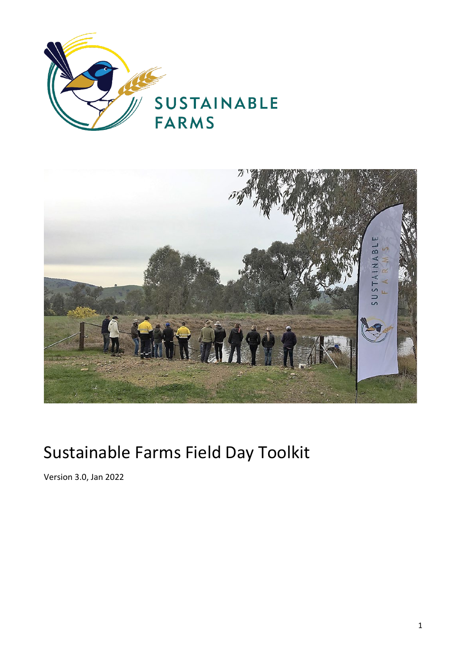



# Sustainable Farms Field Day Toolkit

Version 3.0, Jan 2022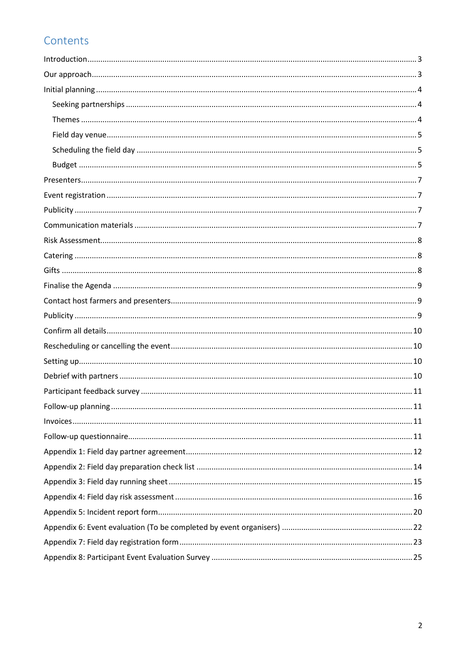# Contents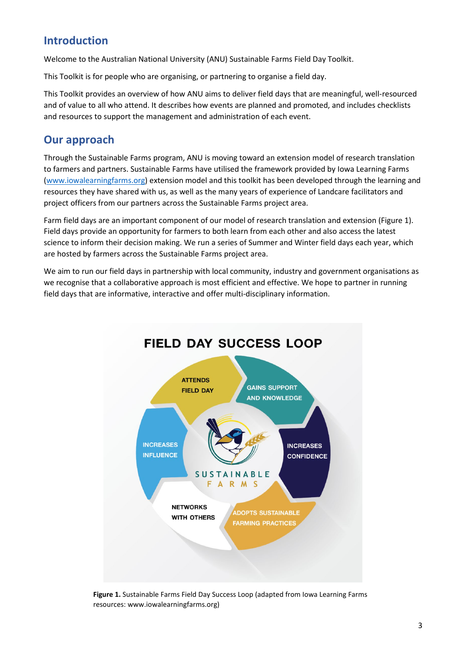### <span id="page-2-0"></span>**Introduction**

Welcome to the Australian National University (ANU) Sustainable Farms Field Day Toolkit.

This Toolkit is for people who are organising, or partnering to organise a field day.

This Toolkit provides an overview of how ANU aims to deliver field days that are meaningful, well-resourced and of value to all who attend. It describes how events are planned and promoted, and includes checklists and resources to support the management and administration of each event.

### <span id="page-2-1"></span>**Our approach**

Through the Sustainable Farms program, ANU is moving toward an extension model of research translation to farmers and partners. Sustainable Farms have utilised the framework provided by Iowa Learning Farms [\(www.iowalearningfarms.org\)](http://www.iowalearningfarms.org/) extension model and this toolkit has been developed through the learning and resources they have shared with us, as well as the many years of experience of Landcare facilitators and project officers from our partners across the Sustainable Farms project area.

Farm field days are an important component of our model of research translation and extension (Figure 1). Field days provide an opportunity for farmers to both learn from each other and also access the latest science to inform their decision making. We run a series of Summer and Winter field days each year, which are hosted by farmers across the Sustainable Farms project area.

We aim to run our field days in partnership with local community, industry and government organisations as we recognise that a collaborative approach is most efficient and effective. We hope to partner in running field days that are informative, interactive and offer multi-disciplinary information.



**Figure 1.** Sustainable Farms Field Day Success Loop (adapted from Iowa Learning Farms resources: www.iowalearningfarms.org)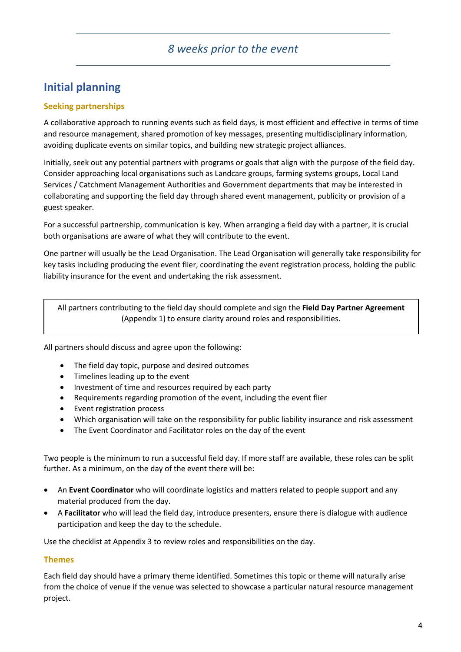### <span id="page-3-0"></span>**Initial planning**

#### <span id="page-3-1"></span>**Seeking partnerships**

A collaborative approach to running events such as field days, is most efficient and effective in terms of time and resource management, shared promotion of key messages, presenting multidisciplinary information, avoiding duplicate events on similar topics, and building new strategic project alliances.

Initially, seek out any potential partners with programs or goals that align with the purpose of the field day. Consider approaching local organisations such as Landcare groups, farming systems groups, Local Land Services / Catchment Management Authorities and Government departments that may be interested in collaborating and supporting the field day through shared event management, publicity or provision of a guest speaker.

For a successful partnership, communication is key. When arranging a field day with a partner, it is crucial both organisations are aware of what they will contribute to the event.

One partner will usually be the Lead Organisation. The Lead Organisation will generally take responsibility for key tasks including producing the event flier, coordinating the event registration process, holding the public liability insurance for the event and undertaking the risk assessment.

All partners contributing to the field day should complete and sign the **Field Day Partner Agreement** (Appendix 1) to ensure clarity around roles and responsibilities.

All partners should discuss and agree upon the following:

- The field day topic, purpose and desired outcomes
- Timelines leading up to the event
- Investment of time and resources required by each party
- Requirements regarding promotion of the event, including the event flier
- Event registration process
- Which organisation will take on the responsibility for public liability insurance and risk assessment
- The Event Coordinator and Facilitator roles on the day of the event

Two people is the minimum to run a successful field day. If more staff are available, these roles can be split further. As a minimum, on the day of the event there will be:

- An **Event Coordinator** who will coordinate logistics and matters related to people support and any material produced from the day.
- A **Facilitator** who will lead the field day, introduce presenters, ensure there is dialogue with audience participation and keep the day to the schedule.

Use the checklist at Appendix 3 to review roles and responsibilities on the day.

#### <span id="page-3-2"></span>**Themes**

Each field day should have a primary theme identified. Sometimes this topic or theme will naturally arise from the choice of venue if the venue was selected to showcase a particular natural resource management project.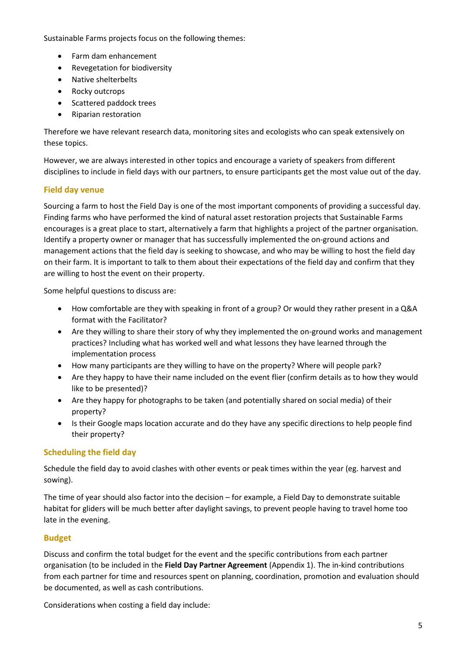Sustainable Farms projects focus on the following themes:

- Farm dam enhancement
- Revegetation for biodiversity
- Native shelterbelts
- Rocky outcrops
- Scattered paddock trees
- Riparian restoration

Therefore we have relevant research data, monitoring sites and ecologists who can speak extensively on these topics.

However, we are always interested in other topics and encourage a variety of speakers from different disciplines to include in field days with our partners, to ensure participants get the most value out of the day.

#### <span id="page-4-0"></span>**Field day venue**

Sourcing a farm to host the Field Day is one of the most important components of providing a successful day. Finding farms who have performed the kind of natural asset restoration projects that Sustainable Farms encourages is a great place to start, alternatively a farm that highlights a project of the partner organisation. Identify a property owner or manager that has successfully implemented the on-ground actions and management actions that the field day is seeking to showcase, and who may be willing to host the field day on their farm. It is important to talk to them about their expectations of the field day and confirm that they are willing to host the event on their property.

Some helpful questions to discuss are:

- How comfortable are they with speaking in front of a group? Or would they rather present in a Q&A format with the Facilitator?
- Are they willing to share their story of why they implemented the on-ground works and management practices? Including what has worked well and what lessons they have learned through the implementation process
- How many participants are they willing to have on the property? Where will people park?
- Are they happy to have their name included on the event flier (confirm details as to how they would like to be presented)?
- Are they happy for photographs to be taken (and potentially shared on social media) of their property?
- Is their Google maps location accurate and do they have any specific directions to help people find their property?

#### <span id="page-4-1"></span>**Scheduling the field day**

Schedule the field day to avoid clashes with other events or peak times within the year (eg. harvest and sowing).

The time of year should also factor into the decision – for example, a Field Day to demonstrate suitable habitat for gliders will be much better after daylight savings, to prevent people having to travel home too late in the evening.

#### <span id="page-4-2"></span>**Budget**

Discuss and confirm the total budget for the event and the specific contributions from each partner organisation (to be included in the **Field Day Partner Agreement** (Appendix 1). The in-kind contributions from each partner for time and resources spent on planning, coordination, promotion and evaluation should be documented, as well as cash contributions.

Considerations when costing a field day include: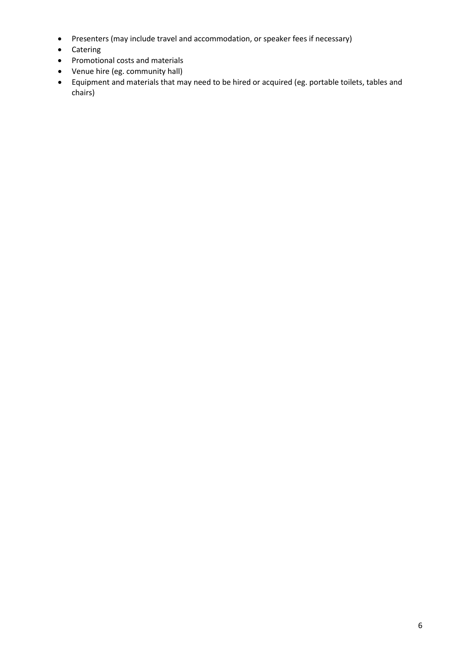- Presenters (may include travel and accommodation, or speaker fees if necessary)
- Catering
- Promotional costs and materials
- Venue hire (eg. community hall)
- Equipment and materials that may need to be hired or acquired (eg. portable toilets, tables and chairs)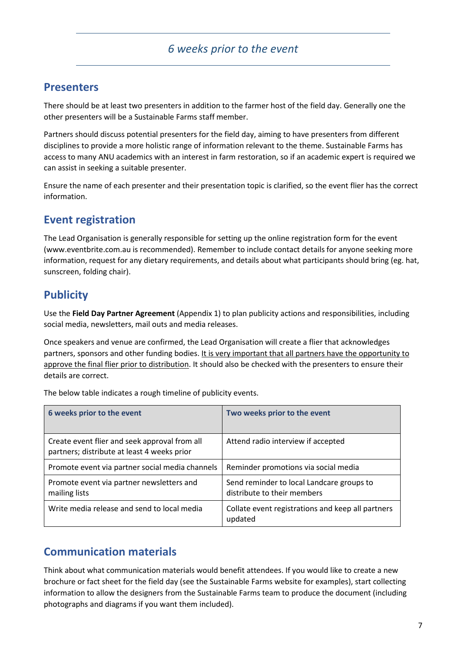### <span id="page-6-0"></span>**Presenters**

There should be at least two presenters in addition to the farmer host of the field day. Generally one the other presenters will be a Sustainable Farms staff member.

Partners should discuss potential presenters for the field day, aiming to have presenters from different disciplines to provide a more holistic range of information relevant to the theme. Sustainable Farms has access to many ANU academics with an interest in farm restoration, so if an academic expert is required we can assist in seeking a suitable presenter.

Ensure the name of each presenter and their presentation topic is clarified, so the event flier has the correct information.

### <span id="page-6-1"></span>**Event registration**

The Lead Organisation is generally responsible for setting up the online registration form for the event (www.eventbrite.com.au is recommended). Remember to include contact details for anyone seeking more information, request for any dietary requirements, and details about what participants should bring (eg. hat, sunscreen, folding chair).

### <span id="page-6-2"></span>**Publicity**

Use the **Field Day Partner Agreement** (Appendix 1) to plan publicity actions and responsibilities, including social media, newsletters, mail outs and media releases.

Once speakers and venue are confirmed, the Lead Organisation will create a flier that acknowledges partners, sponsors and other funding bodies. It is very important that all partners have the opportunity to approve the final flier prior to distribution. It should also be checked with the presenters to ensure their details are correct.

The below table indicates a rough timeline of publicity events.

| 6 weeks prior to the event                                                                   | Two weeks prior to the event                                             |
|----------------------------------------------------------------------------------------------|--------------------------------------------------------------------------|
| Create event flier and seek approval from all<br>partners; distribute at least 4 weeks prior | Attend radio interview if accepted                                       |
| Promote event via partner social media channels                                              | Reminder promotions via social media                                     |
| Promote event via partner newsletters and<br>mailing lists                                   | Send reminder to local Landcare groups to<br>distribute to their members |
| Write media release and send to local media                                                  | Collate event registrations and keep all partners<br>updated             |

### <span id="page-6-3"></span>**Communication materials**

Think about what communication materials would benefit attendees. If you would like to create a new brochure or fact sheet for the field day (see the Sustainable Farms website for examples), start collecting information to allow the designers from the Sustainable Farms team to produce the document (including photographs and diagrams if you want them included).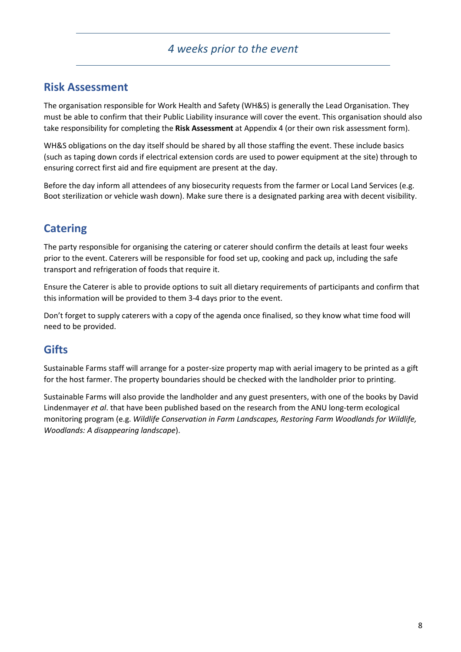### <span id="page-7-0"></span>**Risk Assessment**

The organisation responsible for Work Health and Safety (WH&S) is generally the Lead Organisation. They must be able to confirm that their Public Liability insurance will cover the event. This organisation should also take responsibility for completing the **Risk Assessment** at Appendix 4 (or their own risk assessment form).

WH&S obligations on the day itself should be shared by all those staffing the event. These include basics (such as taping down cords if electrical extension cords are used to power equipment at the site) through to ensuring correct first aid and fire equipment are present at the day.

Before the day inform all attendees of any biosecurity requests from the farmer or Local Land Services (e.g. Boot sterilization or vehicle wash down). Make sure there is a designated parking area with decent visibility.

### <span id="page-7-1"></span>**Catering**

The party responsible for organising the catering or caterer should confirm the details at least four weeks prior to the event. Caterers will be responsible for food set up, cooking and pack up, including the safe transport and refrigeration of foods that require it.

Ensure the Caterer is able to provide options to suit all dietary requirements of participants and confirm that this information will be provided to them 3-4 days prior to the event.

Don't forget to supply caterers with a copy of the agenda once finalised, so they know what time food will need to be provided.

### <span id="page-7-2"></span>**Gifts**

Sustainable Farms staff will arrange for a poster-size property map with aerial imagery to be printed as a gift for the host farmer. The property boundaries should be checked with the landholder prior to printing.

Sustainable Farms will also provide the landholder and any guest presenters, with one of the books by David Lindenmayer *et al*. that have been published based on the research from the ANU long-term ecological monitoring program (e.g. *Wildlife Conservation in Farm Landscapes, Restoring Farm Woodlands for Wildlife, Woodlands: A disappearing landscape*).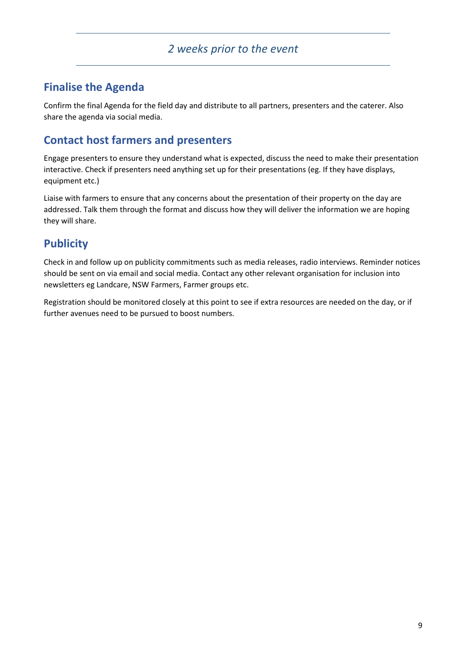### <span id="page-8-0"></span>**Finalise the Agenda**

Confirm the final Agenda for the field day and distribute to all partners, presenters and the caterer. Also share the agenda via social media.

### <span id="page-8-1"></span>**Contact host farmers and presenters**

Engage presenters to ensure they understand what is expected, discuss the need to make their presentation interactive. Check if presenters need anything set up for their presentations (eg. If they have displays, equipment etc.)

Liaise with farmers to ensure that any concerns about the presentation of their property on the day are addressed. Talk them through the format and discuss how they will deliver the information we are hoping they will share.

### <span id="page-8-2"></span>**Publicity**

Check in and follow up on publicity commitments such as media releases, radio interviews. Reminder notices should be sent on via email and social media. Contact any other relevant organisation for inclusion into newsletters eg Landcare, NSW Farmers, Farmer groups etc.

Registration should be monitored closely at this point to see if extra resources are needed on the day, or if further avenues need to be pursued to boost numbers.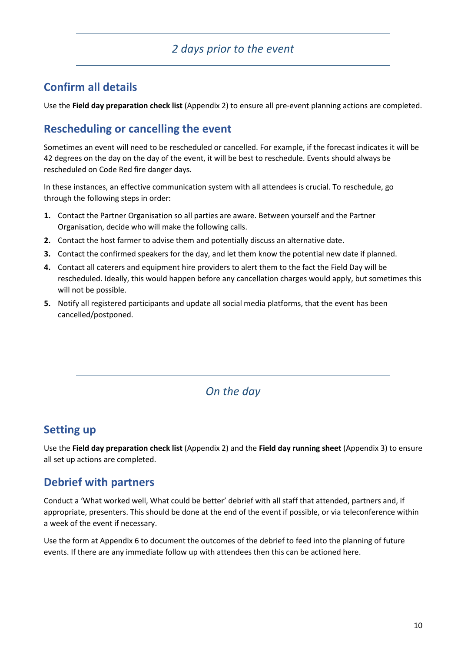### *2 days prior to the event*

### <span id="page-9-0"></span>**Confirm all details**

Use the **Field day preparation check list** (Appendix 2) to ensure all pre-event planning actions are completed.

### <span id="page-9-1"></span>**Rescheduling or cancelling the event**

Sometimes an event will need to be rescheduled or cancelled. For example, if the forecast indicates it will be 42 degrees on the day on the day of the event, it will be best to reschedule. Events should always be rescheduled on Code Red fire danger days.

In these instances, an effective communication system with all attendees is crucial. To reschedule, go through the following steps in order:

- **1.** Contact the Partner Organisation so all parties are aware. Between yourself and the Partner Organisation, decide who will make the following calls.
- **2.** Contact the host farmer to advise them and potentially discuss an alternative date.
- **3.** Contact the confirmed speakers for the day, and let them know the potential new date if planned.
- **4.** Contact all caterers and equipment hire providers to alert them to the fact the Field Day will be rescheduled. Ideally, this would happen before any cancellation charges would apply, but sometimes this will not be possible.
- **5.** Notify all registered participants and update all social media platforms, that the event has been cancelled/postponed.

### *On the day*

### <span id="page-9-2"></span>**Setting up**

Use the **Field day preparation check list** (Appendix 2) and the **Field day running sheet** (Appendix 3) to ensure all set up actions are completed.

### <span id="page-9-3"></span>**Debrief with partners**

Conduct a 'What worked well, What could be better' debrief with all staff that attended, partners and, if appropriate, presenters. This should be done at the end of the event if possible, or via teleconference within a week of the event if necessary.

Use the form at Appendix 6 to document the outcomes of the debrief to feed into the planning of future events. If there are any immediate follow up with attendees then this can be actioned here.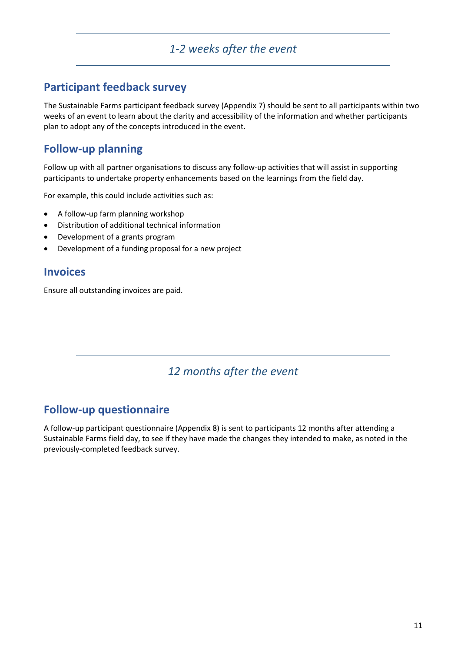### *1-2 weeks after the event*

### <span id="page-10-0"></span>**Participant feedback survey**

The Sustainable Farms participant feedback survey (Appendix 7) should be sent to all participants within two weeks of an event to learn about the clarity and accessibility of the information and whether participants plan to adopt any of the concepts introduced in the event.

### <span id="page-10-1"></span>**Follow-up planning**

Follow up with all partner organisations to discuss any follow-up activities that will assist in supporting participants to undertake property enhancements based on the learnings from the field day.

For example, this could include activities such as:

- A follow-up farm planning workshop
- Distribution of additional technical information
- Development of a grants program
- Development of a funding proposal for a new project

### <span id="page-10-2"></span>**Invoices**

Ensure all outstanding invoices are paid.

# *12 months after the event*

### <span id="page-10-3"></span>**Follow-up questionnaire**

A follow-up participant questionnaire (Appendix 8) is sent to participants 12 months after attending a Sustainable Farms field day, to see if they have made the changes they intended to make, as noted in the previously-completed feedback survey.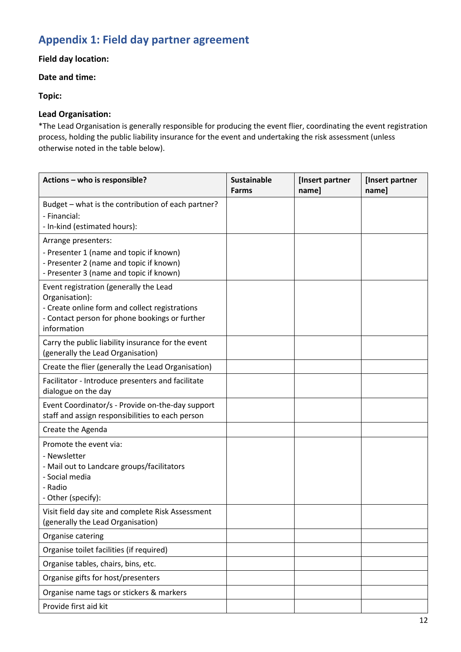## <span id="page-11-0"></span>**Appendix 1: Field day partner agreement**

#### **Field day location:**

#### **Date and time:**

#### **Topic:**

#### **Lead Organisation:**

\*The Lead Organisation is generally responsible for producing the event flier, coordinating the event registration process, holding the public liability insurance for the event and undertaking the risk assessment (unless otherwise noted in the table below).

| Actions - who is responsible?                                                                                                                                               | <b>Sustainable</b><br><b>Farms</b> | [Insert partner<br>name] | [Insert partner<br>name] |
|-----------------------------------------------------------------------------------------------------------------------------------------------------------------------------|------------------------------------|--------------------------|--------------------------|
| Budget - what is the contribution of each partner?<br>- Financial:<br>- In-kind (estimated hours):                                                                          |                                    |                          |                          |
| Arrange presenters:<br>- Presenter 1 (name and topic if known)<br>- Presenter 2 (name and topic if known)<br>- Presenter 3 (name and topic if known)                        |                                    |                          |                          |
| Event registration (generally the Lead<br>Organisation):<br>- Create online form and collect registrations<br>- Contact person for phone bookings or further<br>information |                                    |                          |                          |
| Carry the public liability insurance for the event<br>(generally the Lead Organisation)                                                                                     |                                    |                          |                          |
| Create the flier (generally the Lead Organisation)                                                                                                                          |                                    |                          |                          |
| Facilitator - Introduce presenters and facilitate<br>dialogue on the day                                                                                                    |                                    |                          |                          |
| Event Coordinator/s - Provide on-the-day support<br>staff and assign responsibilities to each person                                                                        |                                    |                          |                          |
| Create the Agenda                                                                                                                                                           |                                    |                          |                          |
| Promote the event via:<br>- Newsletter<br>- Mail out to Landcare groups/facilitators<br>- Social media<br>- Radio<br>- Other (specify):                                     |                                    |                          |                          |
| Visit field day site and complete Risk Assessment<br>(generally the Lead Organisation)                                                                                      |                                    |                          |                          |
| Organise catering                                                                                                                                                           |                                    |                          |                          |
| Organise toilet facilities (if required)                                                                                                                                    |                                    |                          |                          |
| Organise tables, chairs, bins, etc.                                                                                                                                         |                                    |                          |                          |
| Organise gifts for host/presenters                                                                                                                                          |                                    |                          |                          |
| Organise name tags or stickers & markers                                                                                                                                    |                                    |                          |                          |
| Provide first aid kit                                                                                                                                                       |                                    |                          |                          |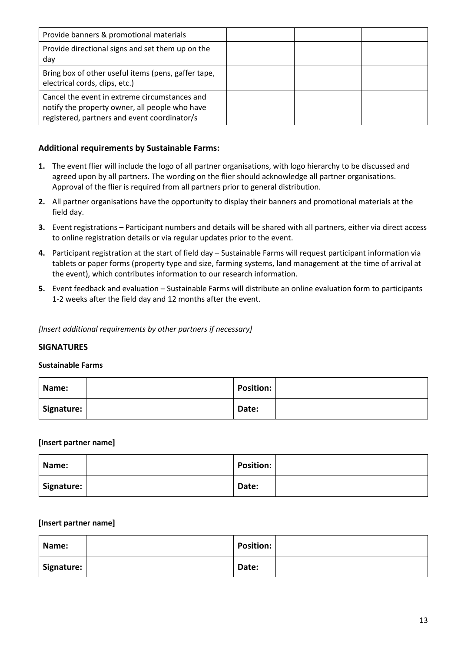| Provide banners & promotional materials                                                                                                         |  |  |
|-------------------------------------------------------------------------------------------------------------------------------------------------|--|--|
| Provide directional signs and set them up on the<br>day                                                                                         |  |  |
| Bring box of other useful items (pens, gaffer tape,<br>electrical cords, clips, etc.)                                                           |  |  |
| Cancel the event in extreme circumstances and<br>notify the property owner, all people who have<br>registered, partners and event coordinator/s |  |  |

#### **Additional requirements by Sustainable Farms:**

- **1.** The event flier will include the logo of all partner organisations, with logo hierarchy to be discussed and agreed upon by all partners. The wording on the flier should acknowledge all partner organisations. Approval of the flier is required from all partners prior to general distribution.
- **2.** All partner organisations have the opportunity to display their banners and promotional materials at the field day.
- **3.** Event registrations Participant numbers and details will be shared with all partners, either via direct access to online registration details or via regular updates prior to the event.
- **4.** Participant registration at the start of field day Sustainable Farms will request participant information via tablets or paper forms (property type and size, farming systems, land management at the time of arrival at the event), which contributes information to our research information.
- **5.** Event feedback and evaluation Sustainable Farms will distribute an online evaluation form to participants 1-2 weeks after the field day and 12 months after the event.

*[Insert additional requirements by other partners if necessary]*

#### **SIGNATURES**

#### **Sustainable Farms**

| Name:      | Position: |  |
|------------|-----------|--|
| Signature: | Date:     |  |

#### **[Insert partner name]**

| Name:      | <b>Position:</b> |  |
|------------|------------------|--|
| Signature: | Date:            |  |

#### **[Insert partner name]**

| Name:      | <b>Position:</b> |  |
|------------|------------------|--|
| Signature: | Date:            |  |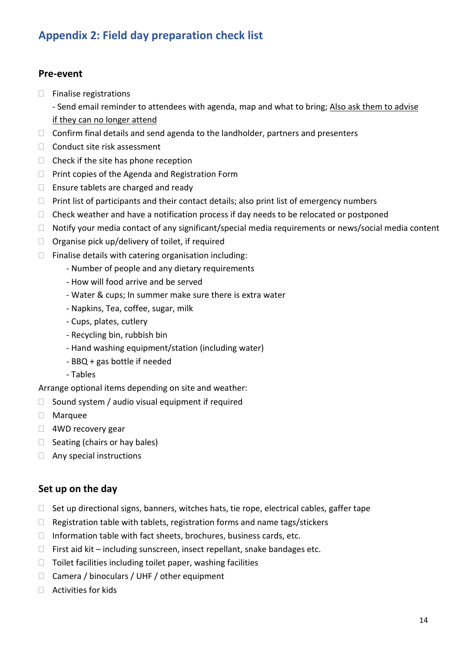### <span id="page-13-0"></span>**Appendix 2: Field day preparation check list**

#### **Pre-event**

- $\Box$  Finalise registrations
	- Send email reminder to attendees with agenda, map and what to bring; Also ask them to advise if they can no longer attend
- $\Box$  Confirm final details and send agenda to the landholder, partners and presenters
- □ Conduct site risk assessment
- $\Box$  Check if the site has phone reception
- $\Box$  Print copies of the Agenda and Registration Form
- $\Box$  Ensure tablets are charged and ready
- $\Box$  Print list of participants and their contact details; also print list of emergency numbers
- $\Box$  Check weather and have a notification process if day needs to be relocated or postponed
- $\Box$  Notify your media contact of any significant/special media requirements or news/social media content
- $\Box$  Organise pick up/delivery of toilet, if required
- $\Box$  Finalise details with catering organisation including:
	- Number of people and any dietary requirements
	- How will food arrive and be served
	- Water & cups; In summer make sure there is extra water
	- Napkins, Tea, coffee, sugar, milk
	- Cups, plates, cutlery
	- Recycling bin, rubbish bin
	- Hand washing equipment/station (including water)
	- BBQ + gas bottle if needed
	- Tables

Arrange optional items depending on site and weather:

- $\Box$  Sound system / audio visual equipment if required
- Marquee
- □ 4WD recovery gear
- $\Box$  Seating (chairs or hay bales)
- □ Any special instructions

### **Set up on the day**

- $\Box$  Set up directional signs, banners, witches hats, tie rope, electrical cables, gaffer tape
- $\Box$  Registration table with tablets, registration forms and name tags/stickers
- $\Box$  Information table with fact sheets, brochures, business cards, etc.
- $\Box$  First aid kit including sunscreen, insect repellant, snake bandages etc.
- $\Box$  Toilet facilities including toilet paper, washing facilities
- □ Camera / binoculars / UHF / other equipment
- $\Box$  Activities for kids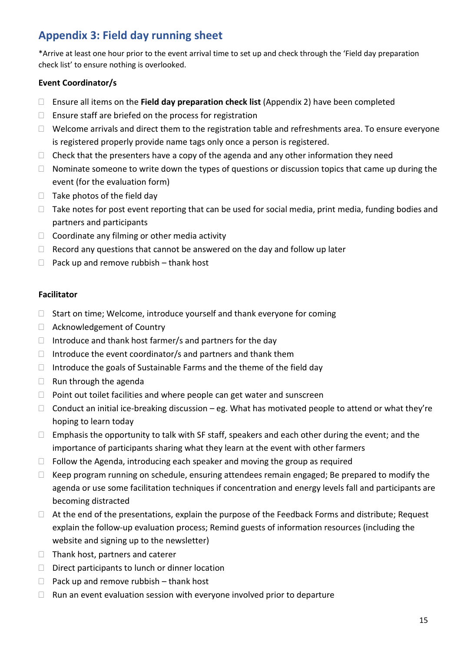### <span id="page-14-0"></span>**Appendix 3: Field day running sheet**

\*Arrive at least one hour prior to the event arrival time to set up and check through the 'Field day preparation check list' to ensure nothing is overlooked.

#### **Event Coordinator/s**

- Ensure all items on the **Field day preparation check list** (Appendix 2) have been completed
- $\Box$  Ensure staff are briefed on the process for registration
- $\Box$  Welcome arrivals and direct them to the registration table and refreshments area. To ensure everyone is registered properly provide name tags only once a person is registered.
- $\Box$  Check that the presenters have a copy of the agenda and any other information they need
- $\Box$  Nominate someone to write down the types of questions or discussion topics that came up during the event (for the evaluation form)
- $\Box$  Take photos of the field day
- $\Box$  Take notes for post event reporting that can be used for social media, print media, funding bodies and partners and participants
- $\Box$  Coordinate any filming or other media activity
- $\Box$  Record any questions that cannot be answered on the day and follow up later
- $\Box$  Pack up and remove rubbish thank host

#### **Facilitator**

- $\Box$  Start on time; Welcome, introduce yourself and thank everyone for coming
- □ Acknowledgement of Country
- $\Box$  Introduce and thank host farmer/s and partners for the day
- $\Box$  Introduce the event coordinator/s and partners and thank them
- Introduce the goals of Sustainable Farms and the theme of the field day
- $\Box$  Run through the agenda
- $\Box$  Point out toilet facilities and where people can get water and sunscreen
- $\Box$  Conduct an initial ice-breaking discussion eg. What has motivated people to attend or what they're hoping to learn today
- $\Box$  Emphasis the opportunity to talk with SF staff, speakers and each other during the event; and the importance of participants sharing what they learn at the event with other farmers
- $\Box$  Follow the Agenda, introducing each speaker and moving the group as required
- $\Box$  Keep program running on schedule, ensuring attendees remain engaged; Be prepared to modify the agenda or use some facilitation techniques if concentration and energy levels fall and participants are becoming distracted
- $\Box$  At the end of the presentations, explain the purpose of the Feedback Forms and distribute; Request explain the follow-up evaluation process; Remind guests of information resources (including the website and signing up to the newsletter)
- $\Box$  Thank host, partners and caterer
- $\Box$  Direct participants to lunch or dinner location
- $\Box$  Pack up and remove rubbish thank host
- $\Box$  Run an event evaluation session with everyone involved prior to departure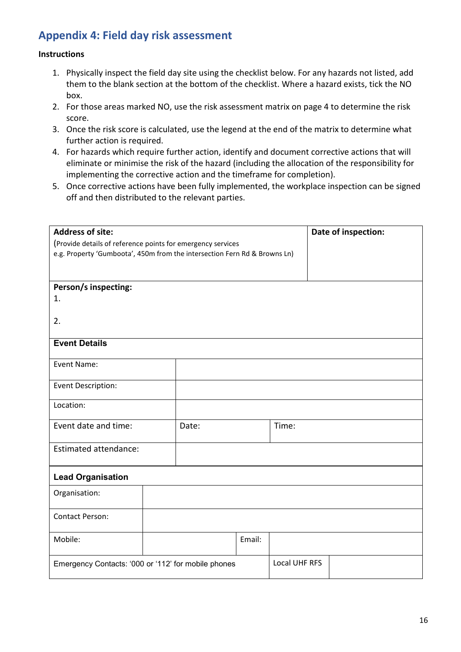### <span id="page-15-0"></span>**Appendix 4: Field day risk assessment**

#### **Instructions**

- 1. Physically inspect the field day site using the checklist below. For any hazards not listed, add them to the blank section at the bottom of the checklist. Where a hazard exists, tick the NO box.
- 2. For those areas marked NO, use the risk assessment matrix on page 4 to determine the risk score.
- 3. Once the risk score is calculated, use the legend at the end of the matrix to determine what further action is required.
- 4. For hazards which require further action, identify and document corrective actions that will eliminate or minimise the risk of the hazard (including the allocation of the responsibility for implementing the corrective action and the timeframe for completion).
- 5. Once corrective actions have been fully implemented, the workplace inspection can be signed off and then distributed to the relevant parties.

| <b>Address of site:</b>                                                   |  |       |        |                      | Date of inspection: |  |  |  |
|---------------------------------------------------------------------------|--|-------|--------|----------------------|---------------------|--|--|--|
| (Provide details of reference points for emergency services               |  |       |        |                      |                     |  |  |  |
| e.g. Property 'Gumboota', 450m from the intersection Fern Rd & Browns Ln) |  |       |        |                      |                     |  |  |  |
|                                                                           |  |       |        |                      |                     |  |  |  |
|                                                                           |  |       |        |                      |                     |  |  |  |
| Person/s inspecting:<br>1.                                                |  |       |        |                      |                     |  |  |  |
|                                                                           |  |       |        |                      |                     |  |  |  |
| 2.                                                                        |  |       |        |                      |                     |  |  |  |
|                                                                           |  |       |        |                      |                     |  |  |  |
| <b>Event Details</b>                                                      |  |       |        |                      |                     |  |  |  |
|                                                                           |  |       |        |                      |                     |  |  |  |
| Event Name:                                                               |  |       |        |                      |                     |  |  |  |
| Event Description:                                                        |  |       |        |                      |                     |  |  |  |
|                                                                           |  |       |        |                      |                     |  |  |  |
| Location:                                                                 |  |       |        |                      |                     |  |  |  |
| Event date and time:                                                      |  |       |        | Time:                |                     |  |  |  |
|                                                                           |  | Date: |        |                      |                     |  |  |  |
| <b>Estimated attendance:</b>                                              |  |       |        |                      |                     |  |  |  |
|                                                                           |  |       |        |                      |                     |  |  |  |
| <b>Lead Organisation</b>                                                  |  |       |        |                      |                     |  |  |  |
|                                                                           |  |       |        |                      |                     |  |  |  |
| Organisation:                                                             |  |       |        |                      |                     |  |  |  |
| <b>Contact Person:</b>                                                    |  |       |        |                      |                     |  |  |  |
|                                                                           |  |       |        |                      |                     |  |  |  |
| Mobile:                                                                   |  |       | Email: |                      |                     |  |  |  |
|                                                                           |  |       |        |                      |                     |  |  |  |
| Emergency Contacts: '000 or '112' for mobile phones                       |  |       |        | <b>Local UHF RFS</b> |                     |  |  |  |
|                                                                           |  |       |        |                      |                     |  |  |  |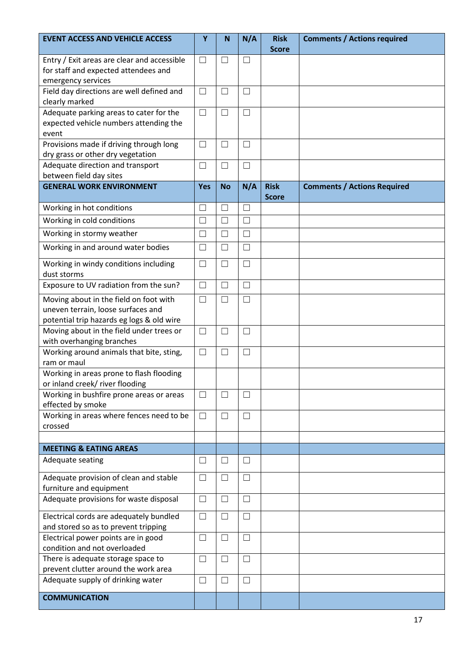| <b>EVENT ACCESS AND VEHICLE ACCESS</b>                                                                                    | Y          | $\mathbf N$              | N/A    | <b>Risk</b><br><b>Score</b> | <b>Comments / Actions required</b> |
|---------------------------------------------------------------------------------------------------------------------------|------------|--------------------------|--------|-----------------------------|------------------------------------|
| Entry / Exit areas are clear and accessible<br>for staff and expected attendees and<br>emergency services                 | $\Box$     | $\Box$                   | $\Box$ |                             |                                    |
| Field day directions are well defined and<br>clearly marked                                                               | $\Box$     | $\Box$                   | $\Box$ |                             |                                    |
| Adequate parking areas to cater for the<br>expected vehicle numbers attending the<br>event                                | $\Box$     | $\Box$                   | $\Box$ |                             |                                    |
| Provisions made if driving through long<br>dry grass or other dry vegetation                                              | $\Box$     | П                        | $\Box$ |                             |                                    |
| Adequate direction and transport<br>between field day sites                                                               | $\Box$     | П                        | $\Box$ |                             |                                    |
| <b>GENERAL WORK ENVIRONMENT</b>                                                                                           | <b>Yes</b> | <b>No</b>                | N/A    | <b>Risk</b><br><b>Score</b> | <b>Comments / Actions Required</b> |
| Working in hot conditions                                                                                                 | u          | $\overline{\phantom{0}}$ | П      |                             |                                    |
| Working in cold conditions                                                                                                | $\Box$     | $\Box$                   | $\Box$ |                             |                                    |
| Working in stormy weather                                                                                                 | $\Box$     | $\Box$                   | $\Box$ |                             |                                    |
| Working in and around water bodies                                                                                        | $\Box$     | $\Box$                   | $\Box$ |                             |                                    |
| Working in windy conditions including<br>dust storms                                                                      | $\Box$     | $\Box$                   | $\Box$ |                             |                                    |
| Exposure to UV radiation from the sun?                                                                                    | $\Box$     | $\Box$                   | $\Box$ |                             |                                    |
| Moving about in the field on foot with<br>uneven terrain, loose surfaces and<br>potential trip hazards eg logs & old wire | $\Box$     | $\Box$                   | $\Box$ |                             |                                    |
| Moving about in the field under trees or<br>with overhanging branches                                                     | $\Box$     | $\Box$                   | $\Box$ |                             |                                    |
| Working around animals that bite, sting,<br>ram or maul                                                                   | $\Box$     | П                        | $\Box$ |                             |                                    |
| Working in areas prone to flash flooding<br>or inland creek/ river flooding                                               |            |                          |        |                             |                                    |
| Working in bushfire prone areas or areas<br>effected by smoke                                                             | $\Box$     | $\Box$                   | $\Box$ |                             |                                    |
| Working in areas where fences need to be<br>crossed                                                                       | $\Box$     | $\Box$                   | $\Box$ |                             |                                    |
|                                                                                                                           |            |                          |        |                             |                                    |
| <b>MEETING &amp; EATING AREAS</b>                                                                                         |            |                          |        |                             |                                    |
| Adequate seating                                                                                                          | □          | $\vert \ \ \vert$        | $\Box$ |                             |                                    |
| Adequate provision of clean and stable<br>furniture and equipment                                                         | ⊔          | $\Box$                   | $\Box$ |                             |                                    |
| Adequate provisions for waste disposal                                                                                    | $\Box$     | $\Box$                   | $\Box$ |                             |                                    |
| Electrical cords are adequately bundled<br>and stored so as to prevent tripping                                           | $\Box$     | $\Box$                   | $\Box$ |                             |                                    |
| Electrical power points are in good<br>condition and not overloaded                                                       | ⊔          | $\mathsf{L}$             | $\Box$ |                             |                                    |
| There is adequate storage space to<br>prevent clutter around the work area                                                | $\Box$     | П                        | $\Box$ |                             |                                    |
| Adequate supply of drinking water                                                                                         | ⊔          | $\vert \ \ \vert$        | $\Box$ |                             |                                    |
| <b>COMMUNICATION</b>                                                                                                      |            |                          |        |                             |                                    |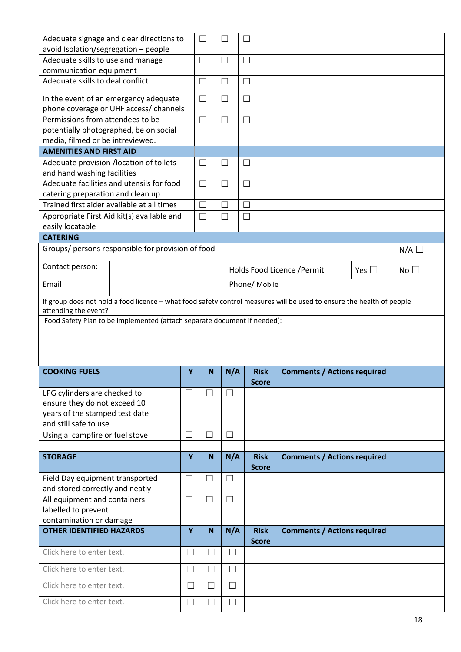| Adequate signage and clear directions to                                                                              |              | $\Box$                   | $\Box$            | $\overline{\phantom{a}}$    |                                    |               |                 |
|-----------------------------------------------------------------------------------------------------------------------|--------------|--------------------------|-------------------|-----------------------------|------------------------------------|---------------|-----------------|
| avoid Isolation/segregation - people                                                                                  |              |                          |                   |                             |                                    |               |                 |
| Adequate skills to use and manage<br>communication equipment                                                          |              | $\Box$                   | $\Box$            | $\Box$                      |                                    |               |                 |
| Adequate skills to deal conflict                                                                                      |              | $\Box$                   | $\Box$            | П                           |                                    |               |                 |
| In the event of an emergency adequate                                                                                 |              | $\Box$                   | $\Box$            | □                           |                                    |               |                 |
| phone coverage or UHF access/ channels                                                                                |              |                          |                   |                             |                                    |               |                 |
| Permissions from attendees to be                                                                                      |              | $\Box$                   | $\Box$            | $\Box$                      |                                    |               |                 |
| potentially photographed, be on social                                                                                |              |                          |                   |                             |                                    |               |                 |
| media, filmed or be intreviewed.                                                                                      |              |                          |                   |                             |                                    |               |                 |
| <b>AMENITIES AND FIRST AID</b>                                                                                        |              |                          |                   |                             |                                    |               |                 |
| Adequate provision /location of toilets                                                                               |              | $\Box$                   | $\Box$            | □                           |                                    |               |                 |
| and hand washing facilities                                                                                           |              |                          |                   |                             |                                    |               |                 |
| Adequate facilities and utensils for food                                                                             |              | $\Box$                   | $\Box$            | $\Box$                      |                                    |               |                 |
| catering preparation and clean up                                                                                     |              |                          |                   |                             |                                    |               |                 |
| Trained first aider available at all times                                                                            |              | $\Box$                   | $\Box$            | □                           |                                    |               |                 |
| Appropriate First Aid kit(s) available and                                                                            |              | $\Box$                   | $\Box$            | $\Box$                      |                                    |               |                 |
| easily locatable                                                                                                      |              |                          |                   |                             |                                    |               |                 |
| <b>CATERING</b>                                                                                                       |              |                          |                   |                             |                                    |               |                 |
| Groups/ persons responsible for provision of food                                                                     |              |                          |                   |                             |                                    |               |                 |
|                                                                                                                       |              |                          |                   |                             |                                    |               | $N/A$ $\square$ |
| Contact person:                                                                                                       |              |                          |                   |                             | Holds Food Licence / Permit        | Yes $\square$ | No <sub>1</sub> |
| Email                                                                                                                 |              |                          |                   | Phone/ Mobile               |                                    |               |                 |
|                                                                                                                       |              |                          |                   |                             |                                    |               |                 |
| If group does not hold a food licence - what food safety control measures will be used to ensure the health of people |              |                          |                   |                             |                                    |               |                 |
| attending the event?                                                                                                  |              |                          |                   |                             |                                    |               |                 |
| Food Safety Plan to be implemented (attach separate document if needed):                                              |              |                          |                   |                             |                                    |               |                 |
|                                                                                                                       |              |                          |                   |                             |                                    |               |                 |
|                                                                                                                       |              |                          |                   |                             |                                    |               |                 |
|                                                                                                                       |              |                          |                   |                             |                                    |               |                 |
| <b>COOKING FUELS</b>                                                                                                  | Υ            | $\mathbf N$              | N/A               | <b>Risk</b>                 | <b>Comments / Actions required</b> |               |                 |
|                                                                                                                       |              |                          |                   | <b>Score</b>                |                                    |               |                 |
| LPG cylinders are checked to                                                                                          | $\mathsf{L}$ | $\overline{\phantom{a}}$ |                   |                             |                                    |               |                 |
| ensure they do not exceed 10                                                                                          |              |                          |                   |                             |                                    |               |                 |
| years of the stamped test date                                                                                        |              |                          |                   |                             |                                    |               |                 |
| and still safe to use                                                                                                 |              |                          |                   |                             |                                    |               |                 |
| Using a campfire or fuel stove                                                                                        |              | $\mathcal{L}$            | $\Box$            |                             |                                    |               |                 |
|                                                                                                                       |              |                          |                   |                             |                                    |               |                 |
| <b>STORAGE</b>                                                                                                        | Y            | N <sub>1</sub>           | N/A               | <b>Risk</b>                 | <b>Comments / Actions required</b> |               |                 |
|                                                                                                                       |              |                          |                   | <b>Score</b>                |                                    |               |                 |
| Field Day equipment transported                                                                                       | $\Box$       | $\Box$                   | $\Box$            |                             |                                    |               |                 |
| and stored correctly and neatly                                                                                       |              |                          |                   |                             |                                    |               |                 |
| All equipment and containers                                                                                          | $\Box$       | $\Box$                   | $\Box$            |                             |                                    |               |                 |
| labelled to prevent                                                                                                   |              |                          |                   |                             |                                    |               |                 |
| contamination or damage                                                                                               |              |                          |                   |                             |                                    |               |                 |
| <b>OTHER IDENTIFIED HAZARDS</b>                                                                                       | Y            | $\mathsf{N}$             | N/A               | <b>Risk</b><br><b>Score</b> | <b>Comments / Actions required</b> |               |                 |
| Click here to enter text.                                                                                             | $\mathsf{L}$ | $\vert \ \ \vert$        | $\perp$           |                             |                                    |               |                 |
| Click here to enter text.                                                                                             | ×            | $\Box$                   | $\Box$            |                             |                                    |               |                 |
| Click here to enter text.                                                                                             |              | $\mathcal{L}$            | $\vert \ \ \vert$ |                             |                                    |               |                 |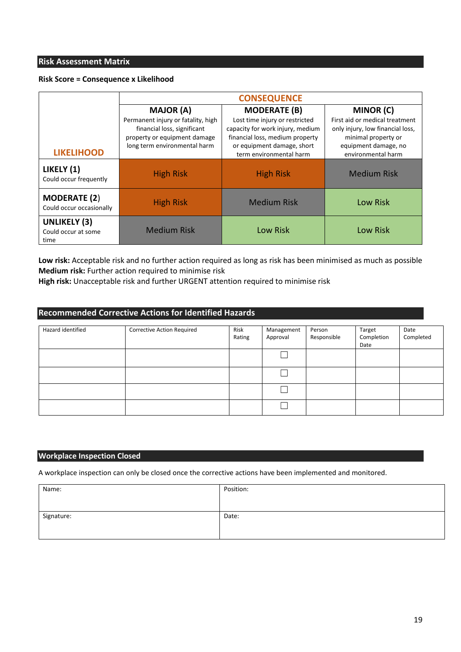#### **Risk Assessment Matrix**

#### **Risk Score = Consequence x Likelihood**

|                                                    | <b>CONSEQUENCE</b>                                                                                                                                    |                                                                                                                                                                                       |                                                                                                                                                             |  |  |  |  |  |
|----------------------------------------------------|-------------------------------------------------------------------------------------------------------------------------------------------------------|---------------------------------------------------------------------------------------------------------------------------------------------------------------------------------------|-------------------------------------------------------------------------------------------------------------------------------------------------------------|--|--|--|--|--|
| <b>LIKELIHOOD</b>                                  | <b>MAJOR (A)</b><br>Permanent injury or fatality, high<br>financial loss, significant<br>property or equipment damage<br>long term environmental harm | <b>MODERATE (B)</b><br>Lost time injury or restricted<br>capacity for work injury, medium<br>financial loss, medium property<br>or equipment damage, short<br>term environmental harm | <b>MINOR (C)</b><br>First aid or medical treatment<br>only injury, low financial loss,<br>minimal property or<br>equipment damage, no<br>environmental harm |  |  |  |  |  |
| LIKELY (1)<br>Could occur frequently               | <b>High Risk</b>                                                                                                                                      | <b>High Risk</b>                                                                                                                                                                      | <b>Medium Risk</b>                                                                                                                                          |  |  |  |  |  |
| <b>MODERATE (2)</b><br>Could occur occasionally    | <b>High Risk</b>                                                                                                                                      | <b>Medium Risk</b>                                                                                                                                                                    | Low Risk                                                                                                                                                    |  |  |  |  |  |
| <b>UNLIKELY (3)</b><br>Could occur at some<br>time | <b>Medium Risk</b>                                                                                                                                    | Low Risk                                                                                                                                                                              | Low Risk                                                                                                                                                    |  |  |  |  |  |

**Low risk:** Acceptable risk and no further action required as long as risk has been minimised as much as possible **Medium risk:** Further action required to minimise risk

**High risk:** Unacceptable risk and further URGENT attention required to minimise risk

#### **Recommended Corrective Actions for Identified Hazards**

| Hazard identified | Corrective Action Required | Risk<br>Rating | Management<br>Approval | Person<br>Responsible | Target<br>Completion<br>Date | Date<br>Completed |
|-------------------|----------------------------|----------------|------------------------|-----------------------|------------------------------|-------------------|
|                   |                            |                | Ξ                      |                       |                              |                   |
|                   |                            |                | Ξ                      |                       |                              |                   |
|                   |                            |                | ┑                      |                       |                              |                   |
|                   |                            |                |                        |                       |                              |                   |

#### **Workplace Inspection Closed**

A workplace inspection can only be closed once the corrective actions have been implemented and monitored.

| Name:      | Position: |
|------------|-----------|
|            |           |
| Signature: | Date:     |
|            |           |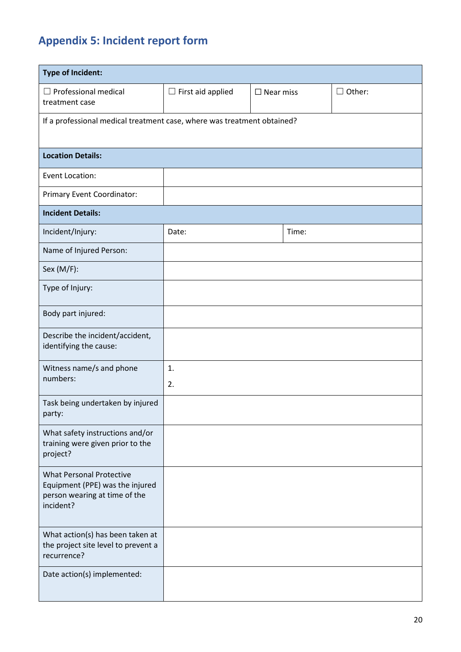# <span id="page-19-0"></span>**Appendix 5: Incident report form**

| <b>Type of Incident:</b>                                                                                         |                                                 |  |               |  |  |  |  |
|------------------------------------------------------------------------------------------------------------------|-------------------------------------------------|--|---------------|--|--|--|--|
| $\Box$ Professional medical<br>treatment case                                                                    | $\Box$ First aid applied<br>$\square$ Near miss |  | $\Box$ Other: |  |  |  |  |
| If a professional medical treatment case, where was treatment obtained?                                          |                                                 |  |               |  |  |  |  |
| <b>Location Details:</b>                                                                                         |                                                 |  |               |  |  |  |  |
| Event Location:                                                                                                  |                                                 |  |               |  |  |  |  |
| Primary Event Coordinator:                                                                                       |                                                 |  |               |  |  |  |  |
| <b>Incident Details:</b>                                                                                         |                                                 |  |               |  |  |  |  |
| Incident/Injury:                                                                                                 | Date:                                           |  | Time:         |  |  |  |  |
| Name of Injured Person:                                                                                          |                                                 |  |               |  |  |  |  |
| Sex (M/F):                                                                                                       |                                                 |  |               |  |  |  |  |
| Type of Injury:                                                                                                  |                                                 |  |               |  |  |  |  |
| Body part injured:                                                                                               |                                                 |  |               |  |  |  |  |
| Describe the incident/accident,<br>identifying the cause:                                                        |                                                 |  |               |  |  |  |  |
| Witness name/s and phone<br>numbers:                                                                             | 1.<br>2.                                        |  |               |  |  |  |  |
| Task being undertaken by injured<br>party:                                                                       |                                                 |  |               |  |  |  |  |
| What safety instructions and/or<br>training were given prior to the<br>project?                                  |                                                 |  |               |  |  |  |  |
| <b>What Personal Protective</b><br>Equipment (PPE) was the injured<br>person wearing at time of the<br>incident? |                                                 |  |               |  |  |  |  |
| What action(s) has been taken at<br>the project site level to prevent a<br>recurrence?                           |                                                 |  |               |  |  |  |  |
| Date action(s) implemented:                                                                                      |                                                 |  |               |  |  |  |  |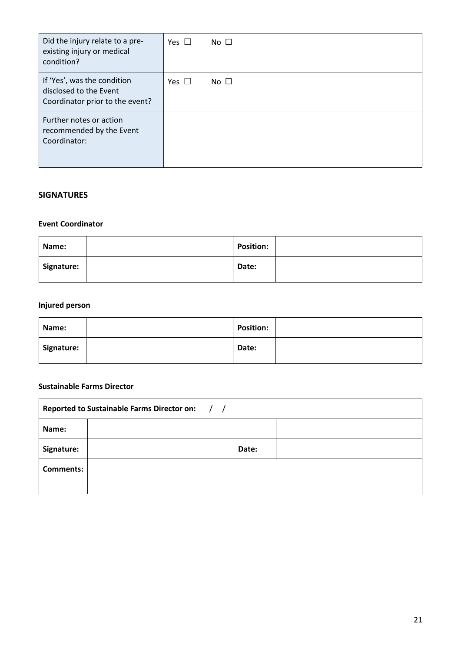| Did the injury relate to a pre-<br>existing injury or medical<br>condition?              | Yes $\Box$ | No $\Box$ |
|------------------------------------------------------------------------------------------|------------|-----------|
| If 'Yes', was the condition<br>disclosed to the Event<br>Coordinator prior to the event? | Yes $\Box$ | No $\Box$ |
| Further notes or action<br>recommended by the Event<br>Coordinator:                      |            |           |

#### **SIGNATURES**

#### **Event Coordinator**

| Name:      | <b>Position:</b> |  |
|------------|------------------|--|
| Signature: | Date:            |  |

#### **Injured person**

| Name:      | <b>Position:</b> |  |
|------------|------------------|--|
| Signature: | Date:            |  |

#### **Sustainable Farms Director**

| <b>Reported to Sustainable Farms Director on:</b><br>$\frac{1}{2}$ |  |       |  |  |  |  |
|--------------------------------------------------------------------|--|-------|--|--|--|--|
| Name:                                                              |  |       |  |  |  |  |
| Signature:                                                         |  | Date: |  |  |  |  |
| <b>Comments:</b>                                                   |  |       |  |  |  |  |
|                                                                    |  |       |  |  |  |  |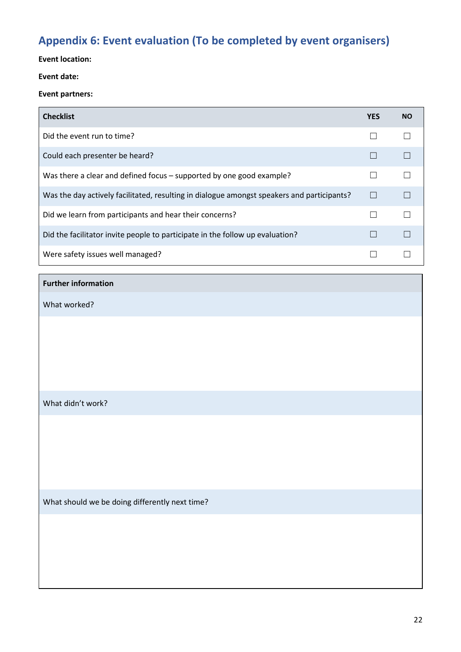# <span id="page-21-0"></span>**Appendix 6: Event evaluation (To be completed by event organisers)**

#### **Event location:**

#### **Event date:**

#### **Event partners:**

| <b>Checklist</b>                                                                           | <b>YES</b> | <b>NO</b> |
|--------------------------------------------------------------------------------------------|------------|-----------|
| Did the event run to time?                                                                 |            |           |
| Could each presenter be heard?                                                             |            |           |
| Was there a clear and defined focus – supported by one good example?                       |            |           |
| Was the day actively facilitated, resulting in dialogue amongst speakers and participants? |            |           |
| Did we learn from participants and hear their concerns?                                    |            |           |
| Did the facilitator invite people to participate in the follow up evaluation?              |            |           |
| Were safety issues well managed?                                                           |            |           |

#### **Further information**

What worked?

#### What didn't work?

What should we be doing differently next time?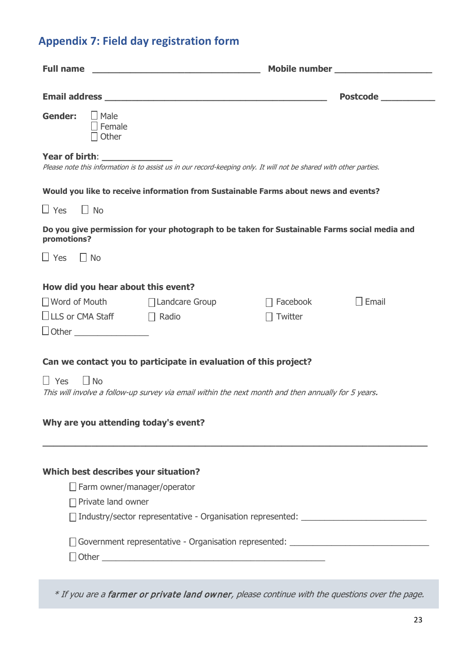# <span id="page-22-0"></span>**Appendix 7: Field day registration form**

| <b>Full name</b>                                      | <u> 1989 - Johann John Stone, mars eta biztanleria (h. 1908).</u>                                                                                                       | Mobile number ____________________                                                                                                                                                                                                 |         |  |  |  |  |
|-------------------------------------------------------|-------------------------------------------------------------------------------------------------------------------------------------------------------------------------|------------------------------------------------------------------------------------------------------------------------------------------------------------------------------------------------------------------------------------|---------|--|--|--|--|
|                                                       |                                                                                                                                                                         | <b>Postcode contract to the set of the set of the set of the set of the set of the set of the set of the set of the set of the set of the set of the set of the set of the set of the set of the set of the set of the set of </b> |         |  |  |  |  |
| Gender:<br>$\Box$ Male<br>Female<br>Other             |                                                                                                                                                                         |                                                                                                                                                                                                                                    |         |  |  |  |  |
| <b>Year of birth: Notify that the state of birth:</b> | Please note this information is to assist us in our record-keeping only. It will not be shared with other parties.                                                      |                                                                                                                                                                                                                                    |         |  |  |  |  |
|                                                       | Would you like to receive information from Sustainable Farms about news and events?                                                                                     |                                                                                                                                                                                                                                    |         |  |  |  |  |
| $\Box$ Yes<br>$\Box$ No                               |                                                                                                                                                                         |                                                                                                                                                                                                                                    |         |  |  |  |  |
| promotions?                                           | Do you give permission for your photograph to be taken for Sustainable Farms social media and                                                                           |                                                                                                                                                                                                                                    |         |  |  |  |  |
| $\Box$ Yes<br>$\blacksquare$ No                       |                                                                                                                                                                         |                                                                                                                                                                                                                                    |         |  |  |  |  |
| How did you hear about this event?                    |                                                                                                                                                                         |                                                                                                                                                                                                                                    |         |  |  |  |  |
|                                                       | □ Word of Mouth □ Landcare Group                                                                                                                                        | Facebook                                                                                                                                                                                                                           | I Email |  |  |  |  |
| $\Box$ LLS or CMA Staff $\Box$ Radio                  |                                                                                                                                                                         | Twitter                                                                                                                                                                                                                            |         |  |  |  |  |
|                                                       |                                                                                                                                                                         |                                                                                                                                                                                                                                    |         |  |  |  |  |
| $\Box$ Yes<br>$\overline{\phantom{a}}$ No             | Can we contact you to participate in evaluation of this project?<br>This will involve a follow-up survey via email within the next month and then annually for 5 years. |                                                                                                                                                                                                                                    |         |  |  |  |  |
| Why are you attending today's event?                  |                                                                                                                                                                         |                                                                                                                                                                                                                                    |         |  |  |  |  |
|                                                       |                                                                                                                                                                         |                                                                                                                                                                                                                                    |         |  |  |  |  |
| Which best describes your situation?                  |                                                                                                                                                                         |                                                                                                                                                                                                                                    |         |  |  |  |  |
|                                                       | $\Box$ Farm owner/manager/operator                                                                                                                                      |                                                                                                                                                                                                                                    |         |  |  |  |  |
| $\Box$ Private land owner                             |                                                                                                                                                                         |                                                                                                                                                                                                                                    |         |  |  |  |  |
|                                                       |                                                                                                                                                                         |                                                                                                                                                                                                                                    |         |  |  |  |  |
|                                                       | Government representative - Organisation represented: __________________________                                                                                        |                                                                                                                                                                                                                                    |         |  |  |  |  |
|                                                       |                                                                                                                                                                         |                                                                                                                                                                                                                                    |         |  |  |  |  |

\* If you are a farmer or private land owner, please continue with the questions over the page.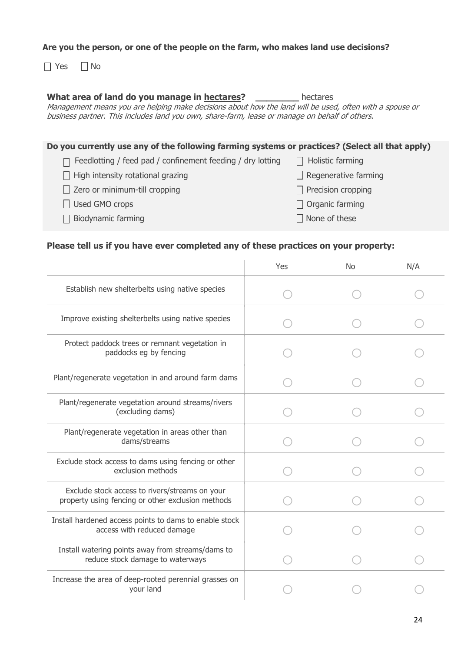#### **Are you the person, or one of the people on the farm, who makes land use decisions?**

 $\Box$  Yes  $\Box$  No

#### **What area of land do you manage in hectares? \_\_\_\_\_\_\_\_** hectares

Management means you are helping make decisions about how the land will be used, often with a spouse or business partner. This includes land you own, share-farm, lease or manage on behalf of others.

#### **Do you currently use any of the following farming systems or practices? (Select all that apply)**

| $\Box$ Feedlotting / feed pad / confinement feeding / dry lotting | $\Box$ Holistic farming     |
|-------------------------------------------------------------------|-----------------------------|
| $\Box$ High intensity rotational grazing                          | $\Box$ Regenerative farming |
| $\Box$ Zero or minimum-till cropping                              | $\Box$ Precision cropping   |
| $\Box$ Used GMO crops                                             | $\Box$ Organic farming      |
| $\Box$ Biodynamic farming                                         | $\Box$ None of these        |
|                                                                   |                             |

#### **Please tell us if you have ever completed any of these practices on your property:**

|                                                                                                     | Yes | <b>No</b> | N/A |
|-----------------------------------------------------------------------------------------------------|-----|-----------|-----|
| Establish new shelterbelts using native species                                                     |     |           |     |
| Improve existing shelterbelts using native species                                                  |     |           |     |
| Protect paddock trees or remnant vegetation in<br>paddocks eg by fencing                            |     |           |     |
| Plant/regenerate vegetation in and around farm dams                                                 |     |           |     |
| Plant/regenerate vegetation around streams/rivers<br>(excluding dams)                               |     |           |     |
| Plant/regenerate vegetation in areas other than<br>dams/streams                                     |     |           |     |
| Exclude stock access to dams using fencing or other<br>exclusion methods                            |     |           |     |
| Exclude stock access to rivers/streams on your<br>property using fencing or other exclusion methods |     |           |     |
| Install hardened access points to dams to enable stock<br>access with reduced damage                |     |           |     |
| Install watering points away from streams/dams to<br>reduce stock damage to waterways               |     |           |     |
| Increase the area of deep-rooted perennial grasses on<br>your land                                  |     |           |     |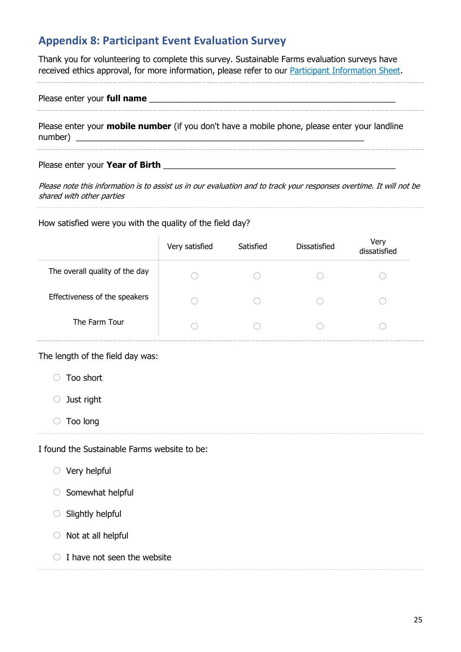### <span id="page-24-0"></span>**Appendix 8: Participant Event Evaluation Survey**

Thank you for volunteering to complete this survey. Sustainable Farms evaluation surveys have received ethics approval, for more information, please refer to our [Participant Information Sheet.](http://sustainablefarms.org.au/sites/default/files/Participant%20Information%20Sheet.pdf)

Please enter your **full name and the set of the set of the set of the set of the set of the set of the set of the set of the set of the set of the set of the set of the set of the set of the set of the set of the set of** 

Please enter your **mobile number** (if you don't have a mobile phone, please enter your landline number) \_\_\_\_\_\_\_\_\_\_\_\_\_\_\_\_\_\_\_\_\_\_\_\_\_\_\_\_\_\_\_\_\_\_\_\_\_\_\_\_\_\_\_\_\_\_\_\_\_\_\_\_\_\_\_\_\_\_\_\_\_\_

Please enter your Year of Birth

Please note this information is to assist us in our evaluation and to track your responses overtime. It will not be shared with other parties

How satisfied were you with the quality of the field day?

|                                | Very satisfied | Satisfied | <b>Dissatisfied</b> | Very<br>dissatisfied |
|--------------------------------|----------------|-----------|---------------------|----------------------|
| The overall quality of the day |                |           |                     |                      |
| Effectiveness of the speakers  |                |           |                     |                      |
| The Farm Tour                  |                |           |                     |                      |

The length of the field day was:

o Too short

o Just right

o Too long

I found the Sustainable Farms website to be:

 $\circ$  Very helpful

 $\circ$  Somewhat helpful

 $\circ$  Slightly helpful

- $\circ$  Not at all helpful
- $\bigcirc$  I have not seen the website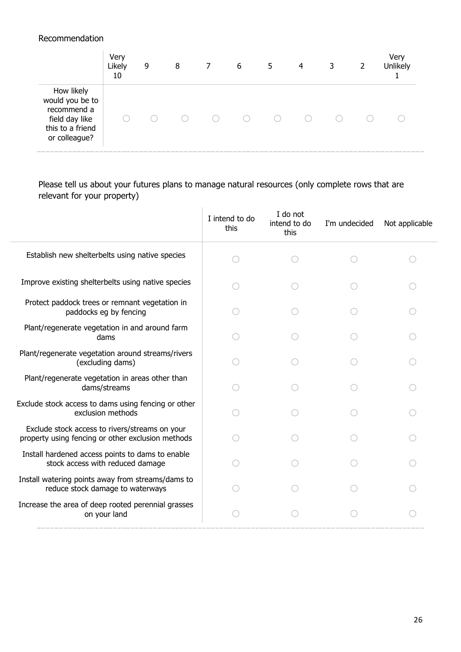#### Recommendation

|                                                                                                     | Very<br>Likely<br>10 | 9 | 8 | 7 | 6 | 5 | 4 | 3 | 2 | Very<br>Unlikely |
|-----------------------------------------------------------------------------------------------------|----------------------|---|---|---|---|---|---|---|---|------------------|
| How likely<br>would you be to<br>recommend a<br>field day like<br>this to a friend<br>or colleague? |                      |   |   |   |   |   |   |   |   |                  |

Please tell us about your futures plans to manage natural resources (only complete rows that are relevant for your property)

|                                                                                                     | I intend to do<br>this | I do not<br>intend to do<br>this | I'm undecided | Not applicable |
|-----------------------------------------------------------------------------------------------------|------------------------|----------------------------------|---------------|----------------|
| Establish new shelterbelts using native species                                                     |                        |                                  |               |                |
| Improve existing shelterbelts using native species                                                  |                        |                                  |               |                |
| Protect paddock trees or remnant vegetation in<br>paddocks eg by fencing                            |                        |                                  |               |                |
| Plant/regenerate vegetation in and around farm<br>dams                                              |                        |                                  |               |                |
| Plant/regenerate vegetation around streams/rivers<br>(excluding dams)                               |                        |                                  |               |                |
| Plant/regenerate vegetation in areas other than<br>dams/streams                                     |                        |                                  |               |                |
| Exclude stock access to dams using fencing or other<br>exclusion methods                            |                        |                                  |               |                |
| Exclude stock access to rivers/streams on your<br>property using fencing or other exclusion methods |                        |                                  |               |                |
| Install hardened access points to dams to enable<br>stock access with reduced damage                |                        |                                  |               |                |
| Install watering points away from streams/dams to<br>reduce stock damage to waterways               |                        |                                  |               |                |
| Increase the area of deep rooted perennial grasses<br>on your land                                  |                        |                                  |               |                |